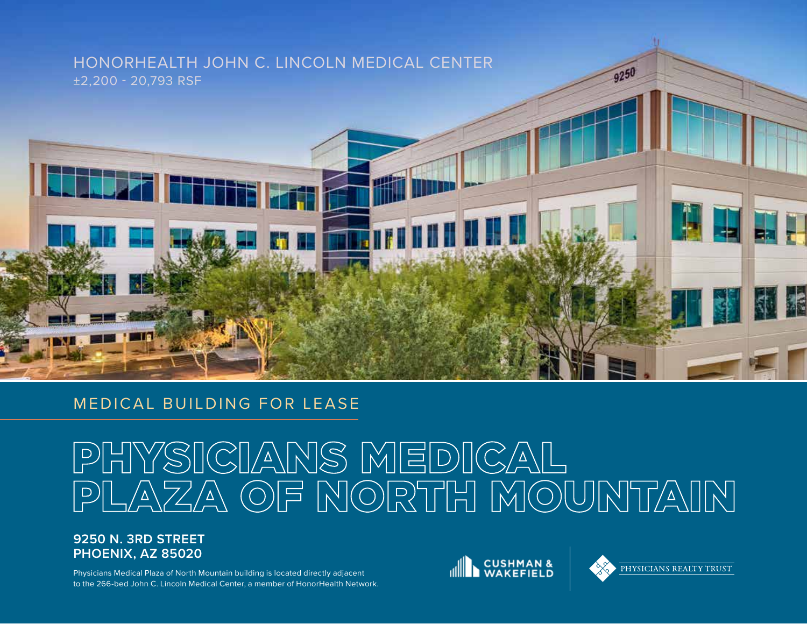# HONORHEALTH JOHN C. LINCOLN MEDICAL CENTER ±2,200 - 20,793 RSF



# PHYSICIANS MEDICAL<br>PLAZA OF NORTH MOUNTAIN

## **9250 N. 3RD STREET PHOENIX, AZ 85020**

**RETROZED** 

Physicians Medical Plaza of North Mountain building is located directly adjacent to the 266-bed John C. Lincoln Medical Center, a member of HonorHealth Network.





**RE** 

9250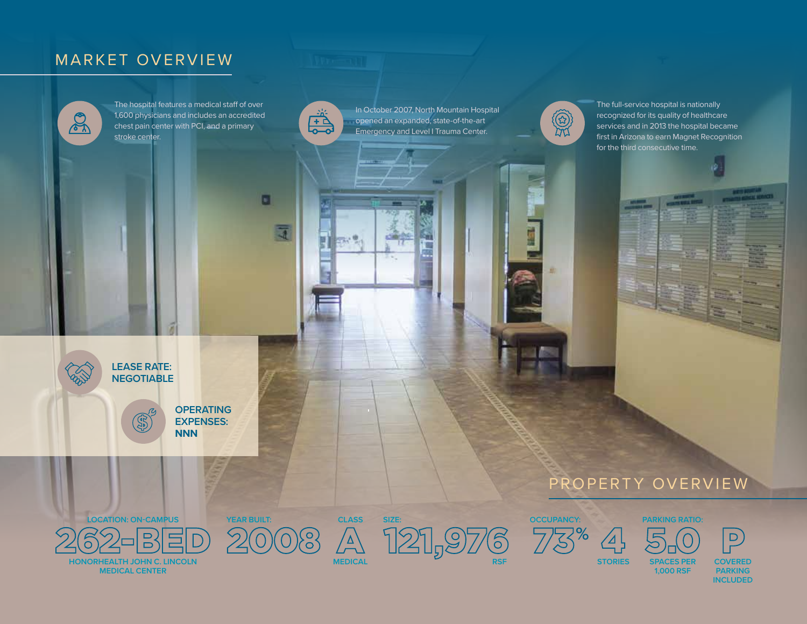# MARKET OVERVIEW

 $\mathcal{L}$ 

The hospital features a medical staff of over 1,600 physicians and includes an accredited chest pain center with PCI, and a primary stroke center.



 $\Box$ 

In October 2007, North Mountain Hospital opened an expanded, state-of-the-art Emergency and Level I Trauma Center.



×

The full-service hospital is nationally recognized for its quality of healthcare services and in 2013 the hospital became first in Arizona to earn Magnet Recognition for the third consecutive time.





**LEASE RATE: NEGOTIABLE**



**CLASS**

**SIZE:**

**YEAR BUILT:**

**OPERATING EXPENSES: NNN**







 $\mathbf{D}$ 

**SPACES PER 1,000 RSF**

**COVERED PARKING INCLUDED**

**STORIES** 

 $\Delta$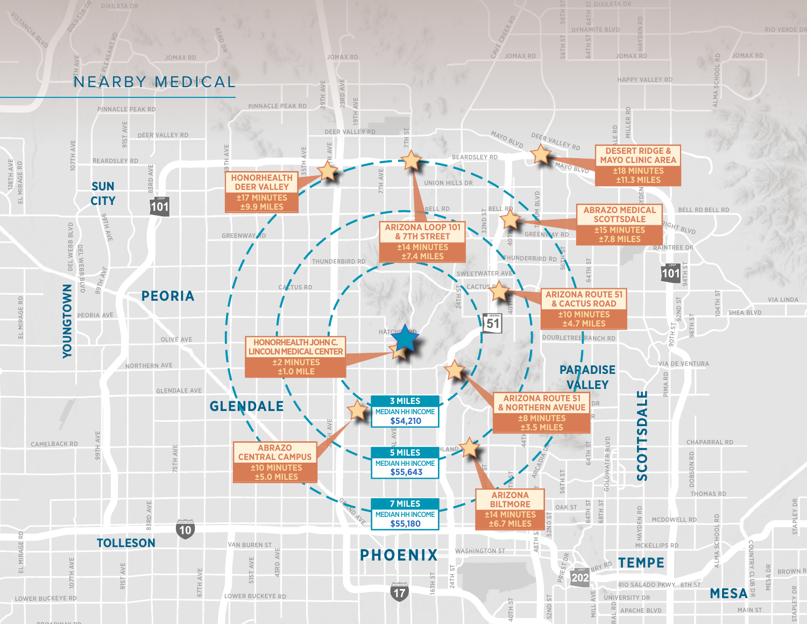